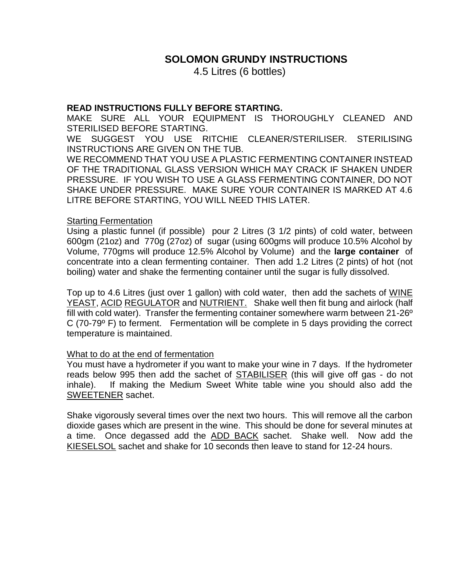# **SOLOMON GRUNDY INSTRUCTIONS**

4.5 Litres (6 bottles)

## **READ INSTRUCTIONS FULLY BEFORE STARTING.**

MAKE SURE ALL YOUR EQUIPMENT IS THOROUGHLY CLEANED AND STERILISED BEFORE STARTING.

WE SUGGEST YOU USE RITCHIE CLEANER/STERILISER. STERILISING INSTRUCTIONS ARE GIVEN ON THE TUB.

WE RECOMMEND THAT YOU USE A PLASTIC FERMENTING CONTAINER INSTEAD OF THE TRADITIONAL GLASS VERSION WHICH MAY CRACK IF SHAKEN UNDER PRESSURE. IF YOU WISH TO USE A GLASS FERMENTING CONTAINER, DO NOT SHAKE UNDER PRESSURE. MAKE SURE YOUR CONTAINER IS MARKED AT 4.6 LITRE BEFORE STARTING, YOU WILL NEED THIS LATER.

#### Starting Fermentation

Using a plastic funnel (if possible) pour 2 Litres (3 1/2 pints) of cold water, between 600gm (21oz) and 770g (27oz) of sugar (using 600gms will produce 10.5% Alcohol by Volume, 770gms will produce 12.5% Alcohol by Volume) and the **large container** of concentrate into a clean fermenting container. Then add 1.2 Litres (2 pints) of hot (not boiling) water and shake the fermenting container until the sugar is fully dissolved.

Top up to 4.6 Litres (just over 1 gallon) with cold water, then add the sachets of WINE YEAST, ACID REGULATOR and NUTRIENT. Shake well then fit bung and airlock (half fill with cold water). Transfer the fermenting container somewhere warm between 21-26º C (70-79º F) to ferment. Fermentation will be complete in 5 days providing the correct temperature is maintained.

#### What to do at the end of fermentation

You must have a hydrometer if you want to make your wine in 7 days. If the hydrometer reads below 995 then add the sachet of **STABILISER** (this will give off gas - do not inhale). If making the Medium Sweet White table wine you should also add the SWEETENER sachet.

Shake vigorously several times over the next two hours. This will remove all the carbon dioxide gases which are present in the wine. This should be done for several minutes at a time. Once degassed add the ADD BACK sachet. Shake well. Now add the KIESELSOL sachet and shake for 10 seconds then leave to stand for 12-24 hours.